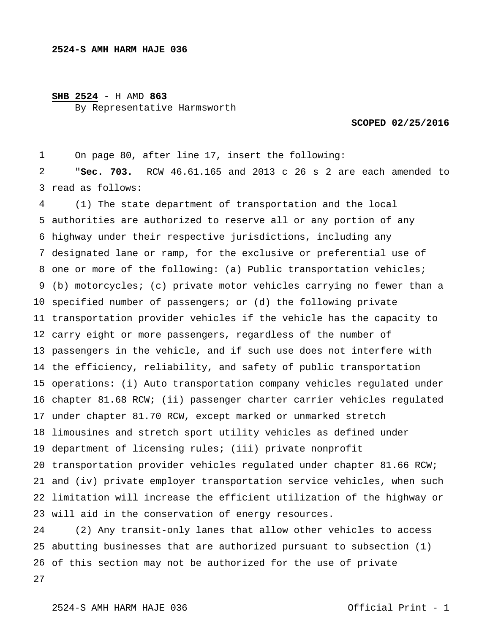## **SHB 2524** - H AMD **863**

By Representative Harmsworth

**SCOPED 02/25/2016** 

 read as follows: On page 80, after line 17, insert the following: "**Sec. 703.** RCW 46.61.165 and 2013 c 26 s 2 are each amended to

 authorities are authorized to reserve all or any portion of any highway under their respective jurisdictions, including any designated lane or ramp, for the exclusive or preferential use of one or more of the following: (a) Public transportation vehicles; (b) motorcycles; (c) private motor vehicles carrying no fewer than a specified number of passengers; or (d) the following private transportation provider vehicles if the vehicle has the capacity to carry eight or more passengers, regardless of the number of passengers in the vehicle, and if such use does not interfere with the efficiency, reliability, and safety of public transportation operations: (i) Auto transportation company vehicles regulated under chapter 81.68 RCW; (ii) passenger charter carrier vehicles regulated under chapter 81.70 RCW, except marked or unmarked stretch limousines and stretch sport utility vehicles as defined under department of licensing rules; (iii) private nonprofit transportation provider vehicles regulated under chapter 81.66 RCW; and (iv) private employer transportation service vehicles, when such limitation will increase the efficient utilization of the highway or will aid in the conservation of energy resources. (1) The state department of transportation and the local

 abutting businesses that are authorized pursuant to subsection (1) of this section may not be authorized for the use of private (2) Any transit-only lanes that allow other vehicles to access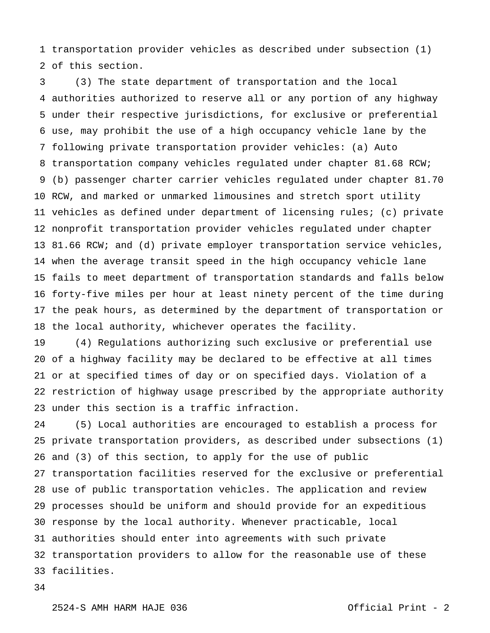transportation provider vehicles as described under subsection (1) of this section.

 authorities authorized to reserve all or any portion of any highway under their respective jurisdictions, for exclusive or preferential use, may prohibit the use of a high occupancy vehicle lane by the following private transportation provider vehicles: (a) Auto transportation company vehicles regulated under chapter 81.68 RCW; (b) passenger charter carrier vehicles regulated under chapter 81.70 RCW, and marked or unmarked limousines and stretch sport utility vehicles as defined under department of licensing rules; (c) private nonprofit transportation provider vehicles regulated under chapter 81.66 RCW; and (d) private employer transportation service vehicles, when the average transit speed in the high occupancy vehicle lane fails to meet department of transportation standards and falls below forty-five miles per hour at least ninety percent of the time during the peak hours, as determined by the department of transportation or the local authority, whichever operates the facility. (3) The state department of transportation and the local

 of a highway facility may be declared to be effective at all times or at specified times of day or on specified days. Violation of a restriction of highway usage prescribed by the appropriate authority under this section is a traffic infraction. (4) Regulations authorizing such exclusive or preferential use

 private transportation providers, as described under subsections (1) and (3) of this section, to apply for the use of public transportation facilities reserved for the exclusive or preferential use of public transportation vehicles. The application and review processes should be uniform and should provide for an expeditious response by the local authority. Whenever practicable, local authorities should enter into agreements with such private transportation providers to allow for the reasonable use of these facilities. (5) Local authorities are encouraged to establish a process for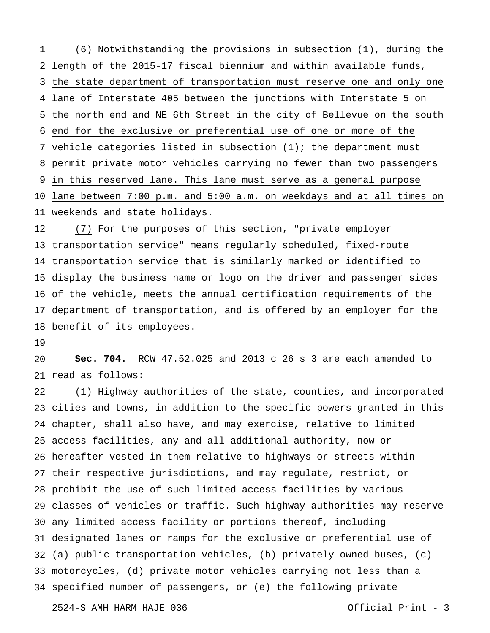length of the 2015-17 fiscal biennium and within available funds, the state department of transportation must reserve one and only one lane of Interstate 405 between the junctions with Interstate 5 on the north end and NE 6th Street in the city of Bellevue on the south end for the exclusive or preferential use of one or more of the vehicle categories listed in subsection (1); the department must permit private motor vehicles carrying no fewer than two passengers in this reserved lane. This lane must serve as a general purpose lane between 7:00 p.m. and 5:00 a.m. on weekdays and at all times on weekends and state holidays. (6) Notwithstanding the provisions in subsection (1), during the

 transportation service" means regularly scheduled, fixed-route transportation service that is similarly marked or identified to display the business name or logo on the driver and passenger sides of the vehicle, meets the annual certification requirements of the department of transportation, and is offered by an employer for the benefit of its employees. (7) For the purposes of this section, "private employer

 read as follows: **Sec. 704.** RCW 47.52.025 and 2013 c 26 s 3 are each amended to

 cities and towns, in addition to the specific powers granted in this chapter, shall also have, and may exercise, relative to limited access facilities, any and all additional authority, now or hereafter vested in them relative to highways or streets within their respective jurisdictions, and may regulate, restrict, or prohibit the use of such limited access facilities by various classes of vehicles or traffic. Such highway authorities may reserve any limited access facility or portions thereof, including designated lanes or ramps for the exclusive or preferential use of (a) public transportation vehicles, (b) privately owned buses, (c) motorcycles, (d) private motor vehicles carrying not less than a specified number of passengers, or (e) the following private (1) Highway authorities of the state, counties, and incorporated

2524-S AMH HARM HAJE 036 Official Print - 3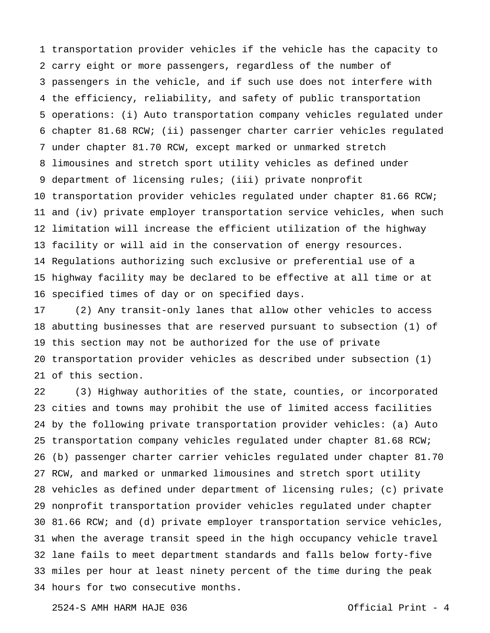transportation provider vehicles if the vehicle has the capacity to carry eight or more passengers, regardless of the number of passengers in the vehicle, and if such use does not interfere with the efficiency, reliability, and safety of public transportation operations: (i) Auto transportation company vehicles regulated under chapter 81.68 RCW; (ii) passenger charter carrier vehicles regulated under chapter 81.70 RCW, except marked or unmarked stretch limousines and stretch sport utility vehicles as defined under department of licensing rules; (iii) private nonprofit transportation provider vehicles regulated under chapter 81.66 RCW; and (iv) private employer transportation service vehicles, when such limitation will increase the efficient utilization of the highway facility or will aid in the conservation of energy resources. Regulations authorizing such exclusive or preferential use of a highway facility may be declared to be effective at all time or at specified times of day or on specified days.

 abutting businesses that are reserved pursuant to subsection (1) of this section may not be authorized for the use of private transportation provider vehicles as described under subsection (1) of this section. (2) Any transit-only lanes that allow other vehicles to access

 cities and towns may prohibit the use of limited access facilities by the following private transportation provider vehicles: (a) Auto transportation company vehicles regulated under chapter 81.68 RCW; (b) passenger charter carrier vehicles regulated under chapter 81.70 RCW, and marked or unmarked limousines and stretch sport utility vehicles as defined under department of licensing rules; (c) private nonprofit transportation provider vehicles regulated under chapter 81.66 RCW; and (d) private employer transportation service vehicles, when the average transit speed in the high occupancy vehicle travel lane fails to meet department standards and falls below forty-five miles per hour at least ninety percent of the time during the peak hours for two consecutive months. (3) Highway authorities of the state, counties, or incorporated

2524-S AMH HARM HAJE 036 Official Print - 4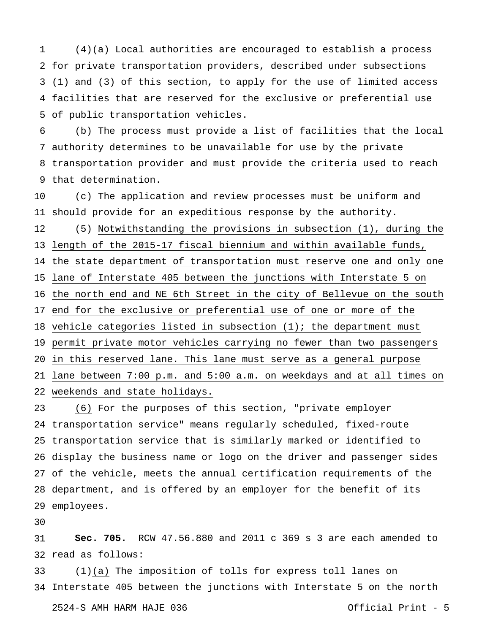for private transportation providers, described under subsections (1) and (3) of this section, to apply for the use of limited access facilities that are reserved for the exclusive or preferential use of public transportation vehicles. (4)(a) Local authorities are encouraged to establish a process

 authority determines to be unavailable for use by the private transportation provider and must provide the criteria used to reach that determination. (b) The process must provide a list of facilities that the local

 should provide for an expeditious response by the authority. length of the 2015-17 fiscal biennium and within available funds, the state department of transportation must reserve one and only one lane of Interstate 405 between the junctions with Interstate 5 on the north end and NE 6th Street in the city of Bellevue on the south end for the exclusive or preferential use of one or more of the vehicle categories listed in subsection (1); the department must permit private motor vehicles carrying no fewer than two passengers in this reserved lane. This lane must serve as a general purpose lane between 7:00 p.m. and 5:00 a.m. on weekdays and at all times on weekends and state holidays. (c) The application and review processes must be uniform and (5) Notwithstanding the provisions in subsection (1), during the

 transportation service" means regularly scheduled, fixed-route transportation service that is similarly marked or identified to display the business name or logo on the driver and passenger sides of the vehicle, meets the annual certification requirements of the department, and is offered by an employer for the benefit of its employees. (6) For the purposes of this section, "private employer

 read as follows: **Sec. 705.** RCW 47.56.880 and 2011 c 369 s 3 are each amended to

 Interstate 405 between the junctions with Interstate 5 on the north (1)(a) The imposition of tolls for express toll lanes on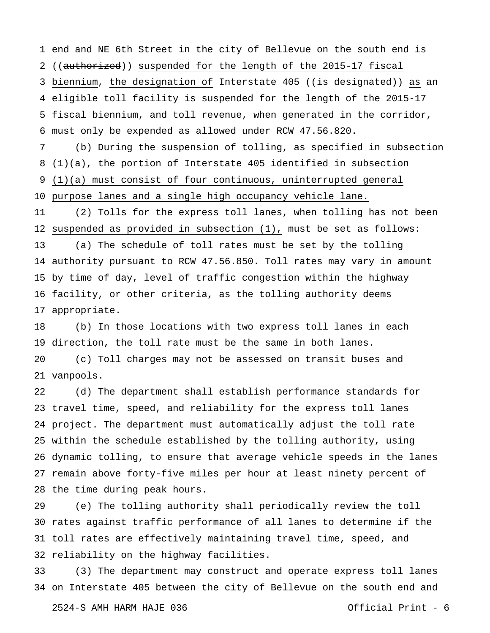end and NE 6th Street in the city of Bellevue on the south end is 2 ((authorized)) suspended for the length of the 2015-17 fiscal 3 biennium, the designation of Interstate 405 ((<del>is designated</del>)) as an eligible toll facility is suspended for the length of the 2015-17 fiscal biennium, and toll revenue, when generated in the corridor, must only be expended as allowed under RCW 47.56.820.

 (1)(a), the portion of Interstate 405 identified in subsection (1)(a) must consist of four continuous, uninterrupted general purpose lanes and a single high occupancy vehicle lane. (b) During the suspension of tolling, as specified in subsection

 suspended as provided in subsection (1), must be set as follows: authority pursuant to RCW 47.56.850. Toll rates may vary in amount by time of day, level of traffic congestion within the highway facility, or other criteria, as the tolling authority deems appropriate. (2) Tolls for the express toll lanes, when tolling has not been (a) The schedule of toll rates must be set by the tolling

 direction, the toll rate must be the same in both lanes. vanpools. (b) In those locations with two express toll lanes in each (c) Toll charges may not be assessed on transit buses and

 travel time, speed, and reliability for the express toll lanes project. The department must automatically adjust the toll rate within the schedule established by the tolling authority, using dynamic tolling, to ensure that average vehicle speeds in the lanes remain above forty-five miles per hour at least ninety percent of the time during peak hours. (d) The department shall establish performance standards for

 rates against traffic performance of all lanes to determine if the toll rates are effectively maintaining travel time, speed, and reliability on the highway facilities. (e) The tolling authority shall periodically review the toll

 on Interstate 405 between the city of Bellevue on the south end and (3) The department may construct and operate express toll lanes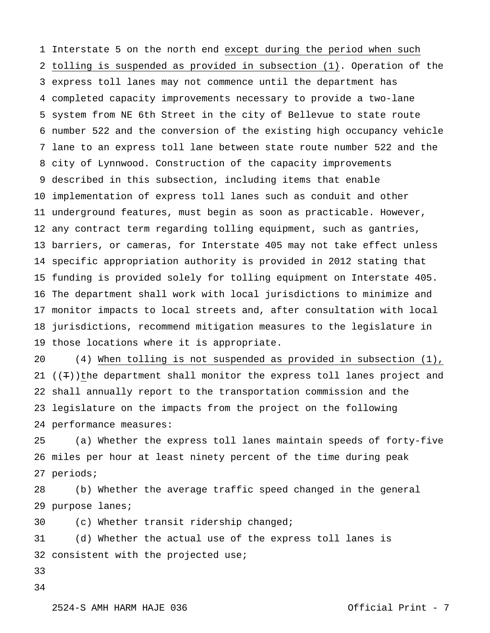Interstate 5 on the north end except during the period when such tolling is suspended as provided in subsection (1). Operation of the express toll lanes may not commence until the department has completed capacity improvements necessary to provide a two-lane system from NE 6th Street in the city of Bellevue to state route number 522 and the conversion of the existing high occupancy vehicle lane to an express toll lane between state route number 522 and the city of Lynnwood. Construction of the capacity improvements described in this subsection, including items that enable implementation of express toll lanes such as conduit and other underground features, must begin as soon as practicable. However, any contract term regarding tolling equipment, such as gantries, barriers, or cameras, for Interstate 405 may not take effect unless specific appropriation authority is provided in 2012 stating that funding is provided solely for tolling equipment on Interstate 405. The department shall work with local jurisdictions to minimize and monitor impacts to local streets and, after consultation with local jurisdictions, recommend mitigation measures to the legislature in those locations where it is appropriate.

 ((T))the department shall monitor the express toll lanes project and shall annually report to the transportation commission and the legislature on the impacts from the project on the following performance measures: (4) When tolling is not suspended as provided in subsection (1),

 miles per hour at least ninety percent of the time during peak periods; (a) Whether the express toll lanes maintain speeds of forty-five

 purpose lanes; (b) Whether the average traffic speed changed in the general

 (c) Whether transit ridership changed;

 consistent with the projected use; (d) Whether the actual use of the express toll lanes is